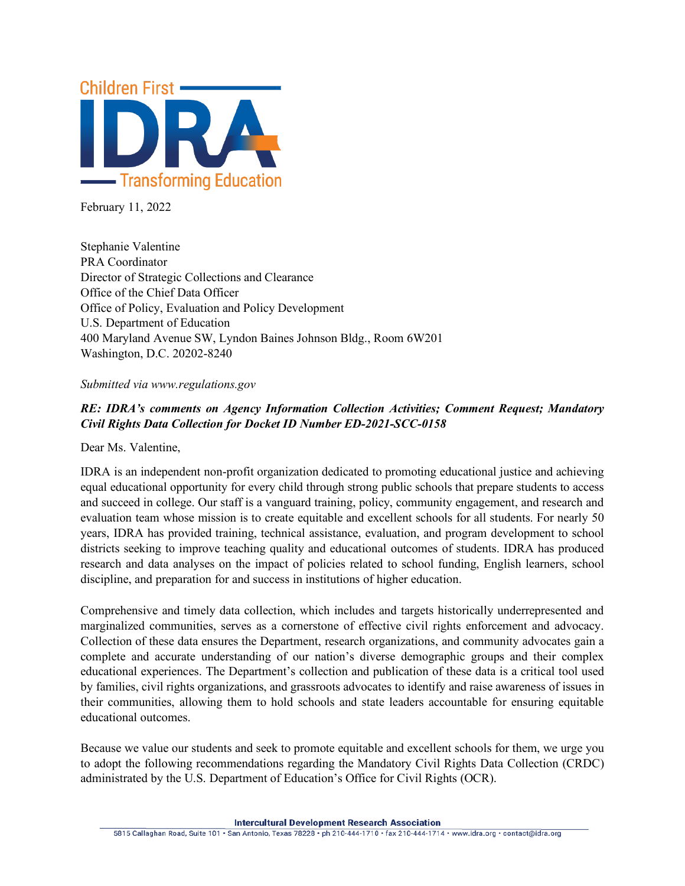

February 11, 2022

Stephanie Valentine PRA Coordinator Director of Strategic Collections and Clearance Office of the Chief Data Officer Office of Policy, Evaluation and Policy Development U.S. Department of Education 400 Maryland Avenue SW, Lyndon Baines Johnson Bldg., Room 6W201 Washington, D.C. 20202-8240

#### *Submitted via www.regulations.gov*

# *RE: IDRA's comments on Agency Information Collection Activities; Comment Request; Mandatory Civil Rights Data Collection for Docket ID Number ED-2021-SCC-0158*

Dear Ms. Valentine,

IDRA is an independent non-profit organization dedicated to promoting educational justice and achieving equal educational opportunity for every child through strong public schools that prepare students to access and succeed in college. Our staff is a vanguard training, policy, community engagement, and research and evaluation team whose mission is to create equitable and excellent schools for all students. For nearly 50 years, IDRA has provided training, technical assistance, evaluation, and program development to school districts seeking to improve teaching quality and educational outcomes of students. IDRA has produced research and data analyses on the impact of policies related to school funding, English learners, school discipline, and preparation for and success in institutions of higher education.

Comprehensive and timely data collection, which includes and targets historically underrepresented and marginalized communities, serves as a cornerstone of effective civil rights enforcement and advocacy. Collection of these data ensures the Department, research organizations, and community advocates gain a complete and accurate understanding of our nation's diverse demographic groups and their complex educational experiences. The Department's collection and publication of these data is a critical tool used by families, civil rights organizations, and grassroots advocates to identify and raise awareness of issues in their communities, allowing them to hold schools and state leaders accountable for ensuring equitable educational outcomes.

Because we value our students and seek to promote equitable and excellent schools for them, we urge you to adopt the following recommendations regarding the Mandatory Civil Rights Data Collection (CRDC) administrated by the U.S. Department of Education's Office for Civil Rights (OCR).

**Intercultural Development Research Association**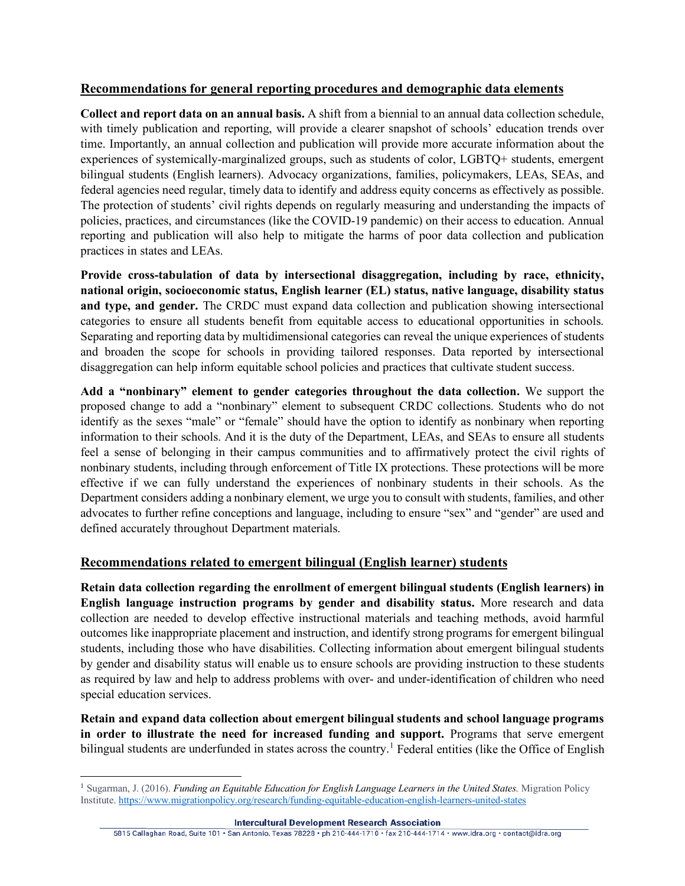## **Recommendations for general reporting procedures and demographic data elements**

**Collect and report data on an annual basis.** A shift from a biennial to an annual data collection schedule, with timely publication and reporting, will provide a clearer snapshot of schools' education trends over time. Importantly, an annual collection and publication will provide more accurate information about the experiences of systemically-marginalized groups, such as students of color, LGBTQ+ students, emergent bilingual students (English learners). Advocacy organizations, families, policymakers, LEAs, SEAs, and federal agencies need regular, timely data to identify and address equity concerns as effectively as possible. The protection of students' civil rights depends on regularly measuring and understanding the impacts of policies, practices, and circumstances (like the COVID-19 pandemic) on their access to education. Annual reporting and publication will also help to mitigate the harms of poor data collection and publication practices in states and LEAs.

**Provide cross-tabulation of data by intersectional disaggregation, including by race, ethnicity, national origin, socioeconomic status, English learner (EL) status, native language, disability status and type, and gender.** The CRDC must expand data collection and publication showing intersectional categories to ensure all students benefit from equitable access to educational opportunities in schools. Separating and reporting data by multidimensional categories can reveal the unique experiences of students and broaden the scope for schools in providing tailored responses. Data reported by intersectional disaggregation can help inform equitable school policies and practices that cultivate student success.

**Add a "nonbinary" element to gender categories throughout the data collection.** We support the proposed change to add a "nonbinary" element to subsequent CRDC collections. Students who do not identify as the sexes "male" or "female" should have the option to identify as nonbinary when reporting information to their schools. And it is the duty of the Department, LEAs, and SEAs to ensure all students feel a sense of belonging in their campus communities and to affirmatively protect the civil rights of nonbinary students, including through enforcement of Title IX protections. These protections will be more effective if we can fully understand the experiences of nonbinary students in their schools. As the Department considers adding a nonbinary element, we urge you to consult with students, families, and other advocates to further refine conceptions and language, including to ensure "sex" and "gender" are used and defined accurately throughout Department materials.

### **Recommendations related to emergent bilingual (English learner) students**

**Retain data collection regarding the enrollment of emergent bilingual students (English learners) in English language instruction programs by gender and disability status.** More research and data collection are needed to develop effective instructional materials and teaching methods, avoid harmful outcomes like inappropriate placement and instruction, and identify strong programs for emergent bilingual students, including those who have disabilities. Collecting information about emergent bilingual students by gender and disability status will enable us to ensure schools are providing instruction to these students as required by law and help to address problems with over- and under-identification of children who need special education services.

**Retain and expand data collection about emergent bilingual students and school language programs in order to illustrate the need for increased funding and support.** Programs that serve emergent bilingual students are underfunded in states across the country.<sup>[1](#page-1-0)</sup> Federal entities (like the Office of English

<span id="page-1-0"></span><sup>1</sup> Sugarman, J. (2016). *Funding an Equitable Education for English Language Learners in the United States.* Migration Policy Institute.<https://www.migrationpolicy.org/research/funding-equitable-education-english-learners-united-states>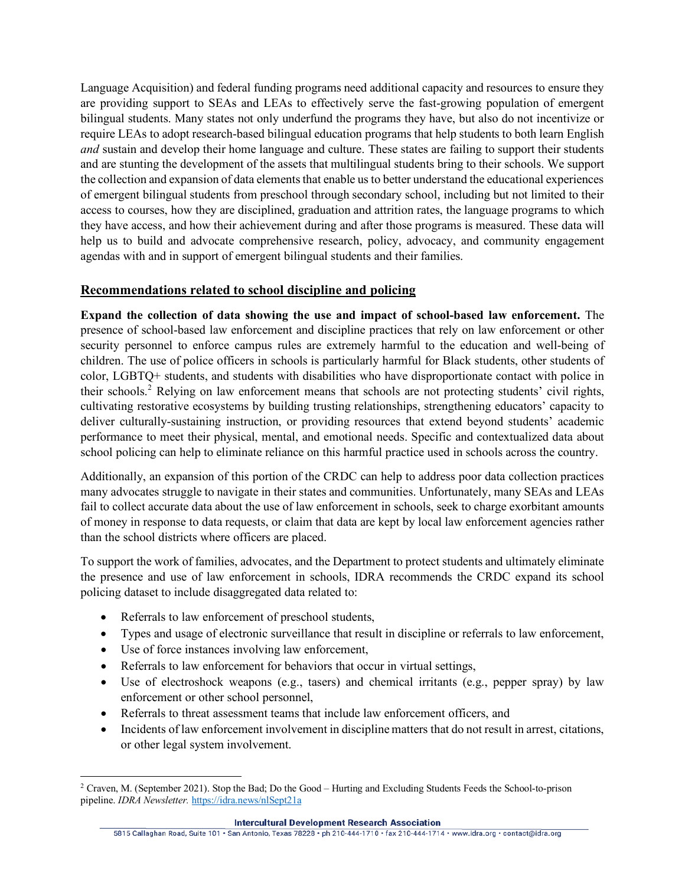Language Acquisition) and federal funding programs need additional capacity and resources to ensure they are providing support to SEAs and LEAs to effectively serve the fast-growing population of emergent bilingual students. Many states not only underfund the programs they have, but also do not incentivize or require LEAs to adopt research-based bilingual education programs that help students to both learn English *and* sustain and develop their home language and culture. These states are failing to support their students and are stunting the development of the assets that multilingual students bring to their schools. We support the collection and expansion of data elements that enable us to better understand the educational experiences of emergent bilingual students from preschool through secondary school, including but not limited to their access to courses, how they are disciplined, graduation and attrition rates, the language programs to which they have access, and how their achievement during and after those programs is measured. These data will help us to build and advocate comprehensive research, policy, advocacy, and community engagement agendas with and in support of emergent bilingual students and their families.

## **Recommendations related to school discipline and policing**

**Expand the collection of data showing the use and impact of school-based law enforcement.** The presence of school-based law enforcement and discipline practices that rely on law enforcement or other security personnel to enforce campus rules are extremely harmful to the education and well-being of children. The use of police officers in schools is particularly harmful for Black students, other students of color, LGBTQ+ students, and students with disabilities who have disproportionate contact with police in their schools.[2](#page-2-0) Relying on law enforcement means that schools are not protecting students' civil rights, cultivating restorative ecosystems by building trusting relationships, strengthening educators' capacity to deliver culturally-sustaining instruction, or providing resources that extend beyond students' academic performance to meet their physical, mental, and emotional needs. Specific and contextualized data about school policing can help to eliminate reliance on this harmful practice used in schools across the country.

Additionally, an expansion of this portion of the CRDC can help to address poor data collection practices many advocates struggle to navigate in their states and communities. Unfortunately, many SEAs and LEAs fail to collect accurate data about the use of law enforcement in schools, seek to charge exorbitant amounts of money in response to data requests, or claim that data are kept by local law enforcement agencies rather than the school districts where officers are placed.

To support the work of families, advocates, and the Department to protect students and ultimately eliminate the presence and use of law enforcement in schools, IDRA recommends the CRDC expand its school policing dataset to include disaggregated data related to:

- Referrals to law enforcement of preschool students,
- Types and usage of electronic surveillance that result in discipline or referrals to law enforcement,
- Use of force instances involving law enforcement,
- Referrals to law enforcement for behaviors that occur in virtual settings,
- Use of electroshock weapons (e.g., tasers) and chemical irritants (e.g., pepper spray) by law enforcement or other school personnel,
- Referrals to threat assessment teams that include law enforcement officers, and
- Incidents of law enforcement involvement in discipline matters that do not result in arrest, citations, or other legal system involvement.

<span id="page-2-0"></span><sup>2</sup> Craven, M. (September 2021). Stop the Bad; Do the Good – Hurting and Excluding Students Feeds the School-to-prison pipeline. *IDRA Newsletter.* <https://idra.news/nlSept21a>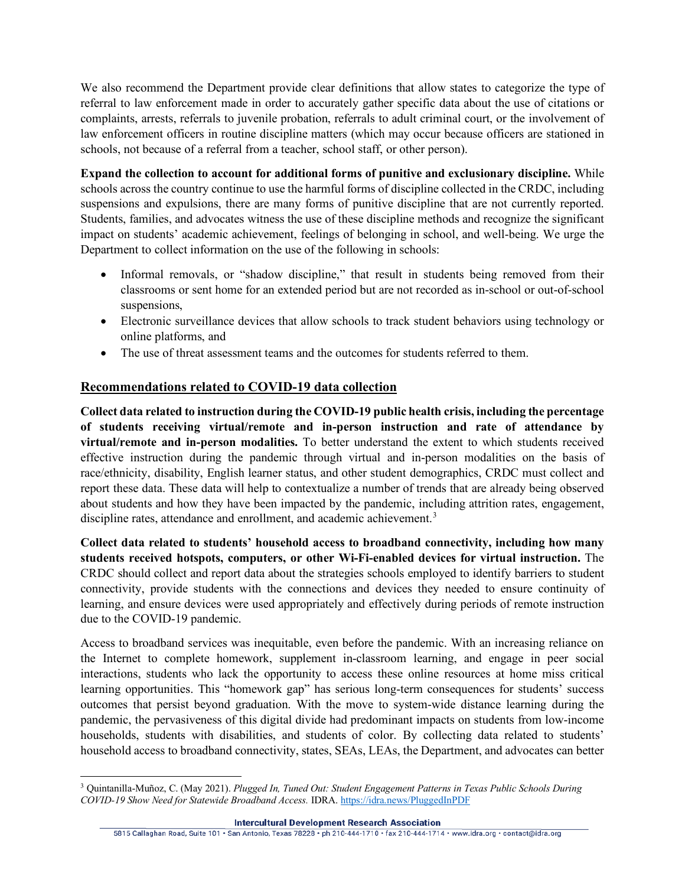We also recommend the Department provide clear definitions that allow states to categorize the type of referral to law enforcement made in order to accurately gather specific data about the use of citations or complaints, arrests, referrals to juvenile probation, referrals to adult criminal court, or the involvement of law enforcement officers in routine discipline matters (which may occur because officers are stationed in schools, not because of a referral from a teacher, school staff, or other person).

**Expand the collection to account for additional forms of punitive and exclusionary discipline.** While schools across the country continue to use the harmful forms of discipline collected in the CRDC, including suspensions and expulsions, there are many forms of punitive discipline that are not currently reported. Students, families, and advocates witness the use of these discipline methods and recognize the significant impact on students' academic achievement, feelings of belonging in school, and well-being. We urge the Department to collect information on the use of the following in schools:

- Informal removals, or "shadow discipline," that result in students being removed from their classrooms or sent home for an extended period but are not recorded as in-school or out-of-school suspensions,
- Electronic surveillance devices that allow schools to track student behaviors using technology or online platforms, and
- The use of threat assessment teams and the outcomes for students referred to them.

# **Recommendations related to COVID-19 data collection**

**Collect data related to instruction during the COVID-19 public health crisis, including the percentage of students receiving virtual/remote and in-person instruction and rate of attendance by virtual/remote and in-person modalities.** To better understand the extent to which students received effective instruction during the pandemic through virtual and in-person modalities on the basis of race/ethnicity, disability, English learner status, and other student demographics, CRDC must collect and report these data. These data will help to contextualize a number of trends that are already being observed about students and how they have been impacted by the pandemic, including attrition rates, engagement, discipline rates, attendance and enrollment, and academic achievement.<sup>[3](#page-3-0)</sup>

**Collect data related to students' household access to broadband connectivity, including how many students received hotspots, computers, or other Wi-Fi-enabled devices for virtual instruction.** The CRDC should collect and report data about the strategies schools employed to identify barriers to student connectivity, provide students with the connections and devices they needed to ensure continuity of learning, and ensure devices were used appropriately and effectively during periods of remote instruction due to the COVID-19 pandemic.

Access to broadband services was inequitable, even before the pandemic. With an increasing reliance on the Internet to complete homework, supplement in-classroom learning, and engage in peer social interactions, students who lack the opportunity to access these online resources at home miss critical learning opportunities. This "homework gap" has serious long-term consequences for students' success outcomes that persist beyond graduation. With the move to system-wide distance learning during the pandemic, the pervasiveness of this digital divide had predominant impacts on students from low-income households, students with disabilities, and students of color. By collecting data related to students' household access to broadband connectivity, states, SEAs, LEAs, the Department, and advocates can better

<span id="page-3-0"></span><sup>3</sup> Quintanilla-Muñoz, C. (May 2021). *Plugged In, Tuned Out: Student Engagement Patterns in Texas Public Schools During COVID-19 Show Need for Statewide Broadband Access.* IDRA[. https://idra.news/PluggedInPDF](https://idra.news/PluggedInPDF)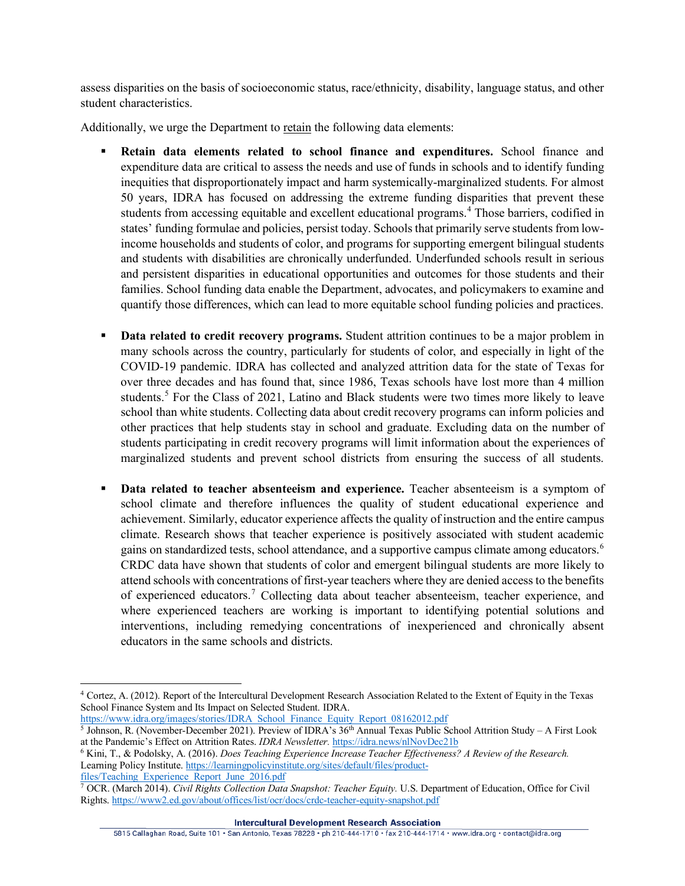assess disparities on the basis of socioeconomic status, race/ethnicity, disability, language status, and other student characteristics.

Additionally, we urge the Department to retain the following data elements:

- **Retain data elements related to school finance and expenditures.** School finance and expenditure data are critical to assess the needs and use of funds in schools and to identify funding inequities that disproportionately impact and harm systemically-marginalized students. For almost 50 years, IDRA has focused on addressing the extreme funding disparities that prevent these students from accessing equitable and excellent educational programs. [4](#page-4-0) Those barriers, codified in states' funding formulae and policies, persist today. Schools that primarily serve students from lowincome households and students of color, and programs for supporting emergent bilingual students and students with disabilities are chronically underfunded. Underfunded schools result in serious and persistent disparities in educational opportunities and outcomes for those students and their families. School funding data enable the Department, advocates, and policymakers to examine and quantify those differences, which can lead to more equitable school funding policies and practices.
- **Data related to credit recovery programs.** Student attrition continues to be a major problem in many schools across the country, particularly for students of color, and especially in light of the COVID-19 pandemic. IDRA has collected and analyzed attrition data for the state of Texas for over three decades and has found that, since 1986, Texas schools have lost more than 4 million students.<sup>[5](#page-4-1)</sup> For the Class of 2021, Latino and Black students were two times more likely to leave school than white students. Collecting data about credit recovery programs can inform policies and other practices that help students stay in school and graduate. Excluding data on the number of students participating in credit recovery programs will limit information about the experiences of marginalized students and prevent school districts from ensuring the success of all students.
- **Data related to teacher absenteeism and experience.** Teacher absenteeism is a symptom of school climate and therefore influences the quality of student educational experience and achievement. Similarly, educator experience affects the quality of instruction and the entire campus climate. Research shows that teacher experience is positively associated with student academic gains on standardized tests, school attendance, and a supportive campus climate among educators.<sup>[6](#page-4-2)</sup> CRDC data have shown that students of color and emergent bilingual students are more likely to attend schools with concentrations of first-year teachers where they are denied access to the benefits of experienced educators.<sup>[7](#page-4-3)</sup> Collecting data about teacher absenteeism, teacher experience, and where experienced teachers are working is important to identifying potential solutions and interventions, including remedying concentrations of inexperienced and chronically absent educators in the same schools and districts.

<span id="page-4-1"></span>[https://www.idra.org/images/stories/IDRA\\_School\\_Finance\\_Equity\\_Report\\_08162012.pdf](https://www.idra.org/images/stories/IDRA_School_Finance_Equity_Report_08162012.pdf) <sup>5</sup> Johnson, R. (November-December 2021). Preview of IDRA's 36<sup>th</sup> Annual Texas Public School Attrition Study – A First Look at the Pandemic's Effect on Attrition Rates. *IDRA Newsletter.* <https://idra.news/nlNovDec21b>

<span id="page-4-2"></span><sup>6</sup> Kini, T., & Podolsky, A. (2016). *Does Teaching Experience Increase Teacher Effectiveness? A Review of the Research.* Learning Policy Institute. [https://learningpolicyinstitute.org/sites/default/files/product](https://learningpolicyinstitute.org/sites/default/files/product-files/Teaching_Experience_Report_June_2016.pdf)[files/Teaching\\_Experience\\_Report\\_June\\_2016.pdf](https://learningpolicyinstitute.org/sites/default/files/product-files/Teaching_Experience_Report_June_2016.pdf)

<span id="page-4-3"></span><sup>7</sup> OCR. (March 2014). *Civil Rights Collection Data Snapshot: Teacher Equity.* U.S. Department of Education, Office for Civil Rights.<https://www2.ed.gov/about/offices/list/ocr/docs/crdc-teacher-equity-snapshot.pdf>

**Intercultural Development Research Association** 

<span id="page-4-0"></span><sup>4</sup> Cortez, A. (2012). Report of the Intercultural Development Research Association Related to the Extent of Equity in the Texas School Finance System and Its Impact on Selected Student. IDRA.